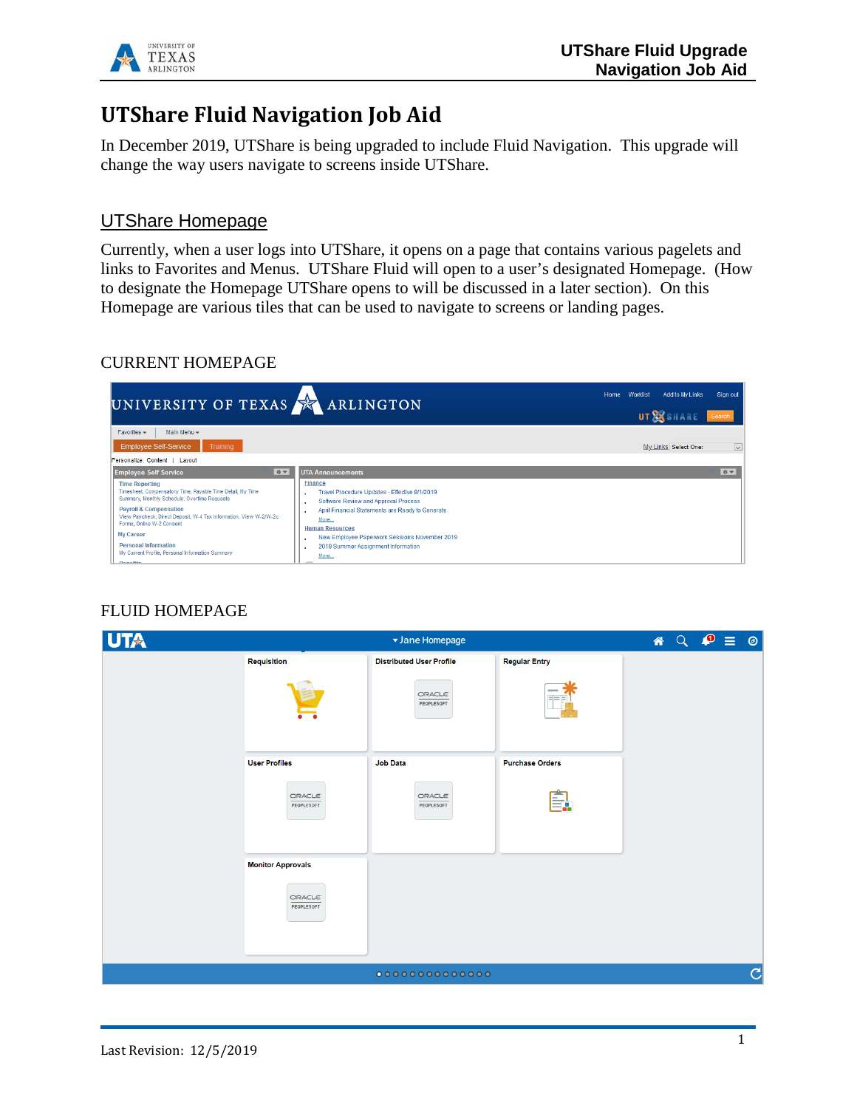

# **UTShare Fluid Navigation Job Aid**

In December 2019, UTShare is being upgraded to include Fluid Navigation. This upgrade will change the way users navigate to screens inside UTShare.

#### UTShare Homepage

Currently, when a user logs into UTShare, it opens on a page that contains various pagelets and links to Favorites and Menus. UTShare Fluid will open to a user's designated Homepage. (How to designate the Homepage UTShare opens to will be discussed in a later section). On this Homepage are various tiles that can be used to navigate to screens or landing pages.

#### CURRENT HOMEPAGE



# FLUID HOMEPAGE

| <b>UTA</b> |                                   | ▼ Jane Homepage                   |                        | $\land$ $\quad$ $\bullet$ $\equiv$ $\circ$ |  |               |
|------------|-----------------------------------|-----------------------------------|------------------------|--------------------------------------------|--|---------------|
|            | Requisition                       | <b>Distributed User Profile</b>   | <b>Regular Entry</b>   |                                            |  |               |
|            |                                   | ORACLE <sup>®</sup><br>PEOPLESOFT |                        |                                            |  |               |
|            | <b>User Profiles</b>              | <b>Job Data</b>                   | <b>Purchase Orders</b> |                                            |  |               |
|            | ORACLE <sup>®</sup><br>PEOPLESOFT | ORACLE <sup>®</sup><br>PEOPLESOFT | Ξ.                     |                                            |  |               |
|            | <b>Monitor Approvals</b>          |                                   |                        |                                            |  |               |
|            | ORACLE <sup>®</sup><br>PEOPLESOFT |                                   |                        |                                            |  |               |
|            |                                   | $000000000000000$                 |                        |                                            |  | $\mathcal{C}$ |
|            |                                   |                                   |                        |                                            |  |               |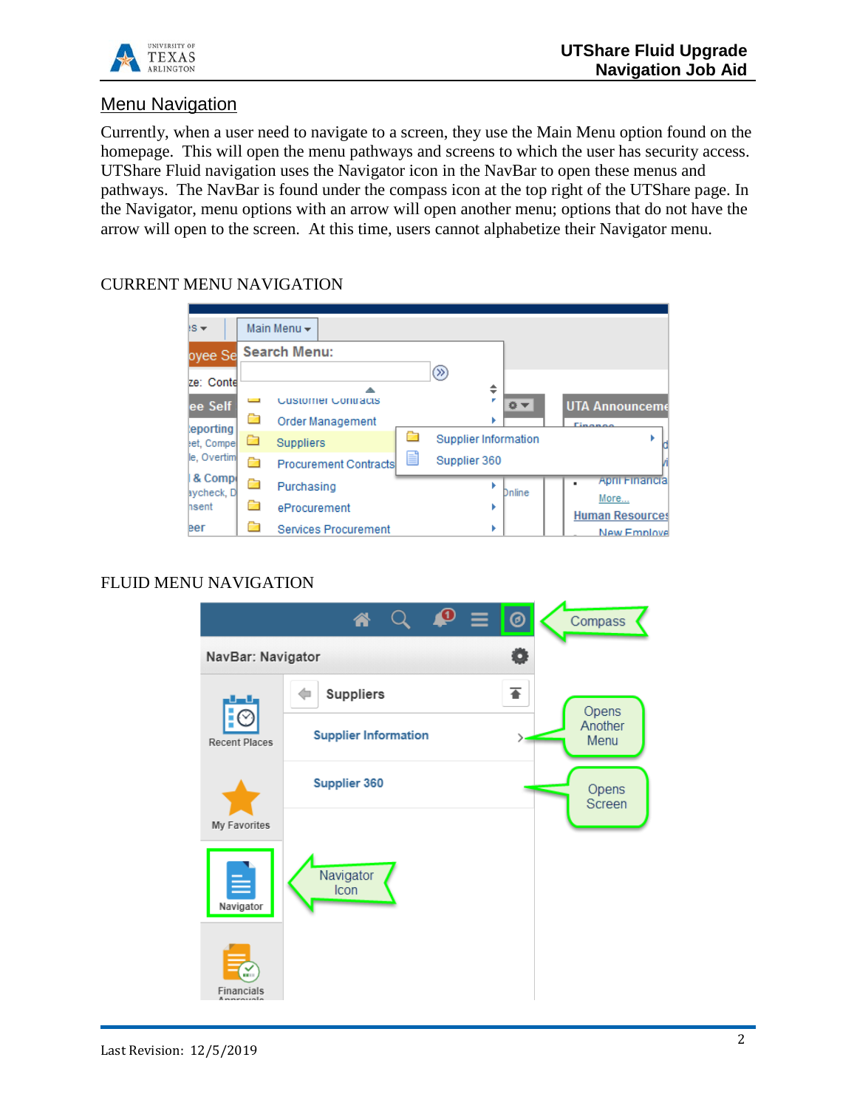

#### Menu Navigation

Currently, when a user need to navigate to a screen, they use the Main Menu option found on the homepage. This will open the menu pathways and screens to which the user has security access. UTShare Fluid navigation uses the Navigator icon in the NavBar to open these menus and pathways. The NavBar is found under the compass icon at the top right of the UTShare page. In the Navigator, menu options with an arrow will open another menu; options that do not have the arrow will open to the screen. At this time, users cannot alphabetize their Navigator menu.

#### CURRENT MENU NAVIGATION

| $\overline{ss}$      |   | Main Menu $\star$    |                              |                      |   |        |         |                                |  |
|----------------------|---|----------------------|------------------------------|----------------------|---|--------|---------|--------------------------------|--|
|                      |   | oyee Se Search Menu: |                              |                      |   |        |         |                                |  |
| ze: Conte            |   |                      |                              | (                    | ÷ |        |         |                                |  |
| ee Self              |   |                      | Justomer Contracts           |                      |   | 卷室     |         | <b>UTA Announceme</b>          |  |
| eporting             |   |                      | Order Management             |                      |   |        | Finance |                                |  |
| eet, Compe           |   | <b>Suppliers</b>     |                              | Supplier Information |   |        |         | ь                              |  |
| le, Overtim          |   |                      | <b>Procurement Contracts</b> | Supplier 360         |   |        |         |                                |  |
| & Comp<br>aycheck, D | ō | Purchasing           |                              |                      |   | Dnline |         | April Einancia                 |  |
| hsent                |   | eProcurement         |                              |                      |   |        |         | More<br><b>Human Resources</b> |  |
| eer                  |   |                      | <b>Services Procurement</b>  |                      | Þ |        |         | New Employe                    |  |

#### FLUID MENU NAVIGATION

|                            | 谷                           | $\begin{array}{cc} \mathbb{Q} & \mathbf{0} \end{array}$ | ◎ | Compass         |
|----------------------------|-----------------------------|---------------------------------------------------------|---|-----------------|
| NavBar: Navigator          |                             |                                                         |   |                 |
|                            | Suppliers                   |                                                         | Ŧ | Opens           |
| [⊘<br><b>Recent Places</b> | <b>Supplier Information</b> |                                                         |   | Another<br>Menu |
|                            | <b>Supplier 360</b>         |                                                         |   | Opens<br>Screen |
| My Favorites               |                             |                                                         |   |                 |
| ≣<br>Navigator             | Navigator<br>Icon           |                                                         |   |                 |
| m<br><b>Financials</b>     |                             |                                                         |   |                 |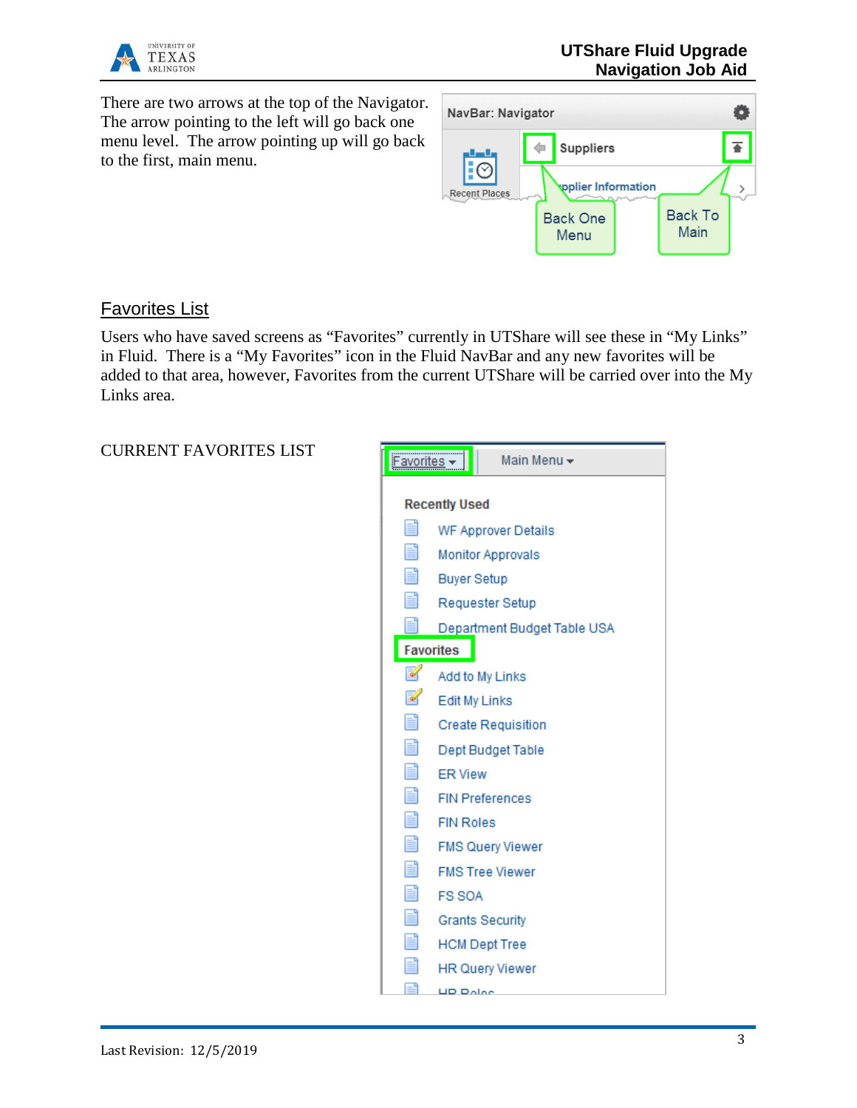

There are two arrows at the top of the Navigator. The arrow pointing to the left will go back one menu level. The arrow pointing up will go back to the first, main menu.



## Favorites List

Users who have saved screens as "Favorites" currently in UTShare will see these in "My Links" in Fluid. There is a "My Favorites" icon in the Fluid NavBar and any new favorites will be added to that area, however, Favorites from the current UTShare will be carried over into the My Links area.

CURRENT FAVORITES LIST

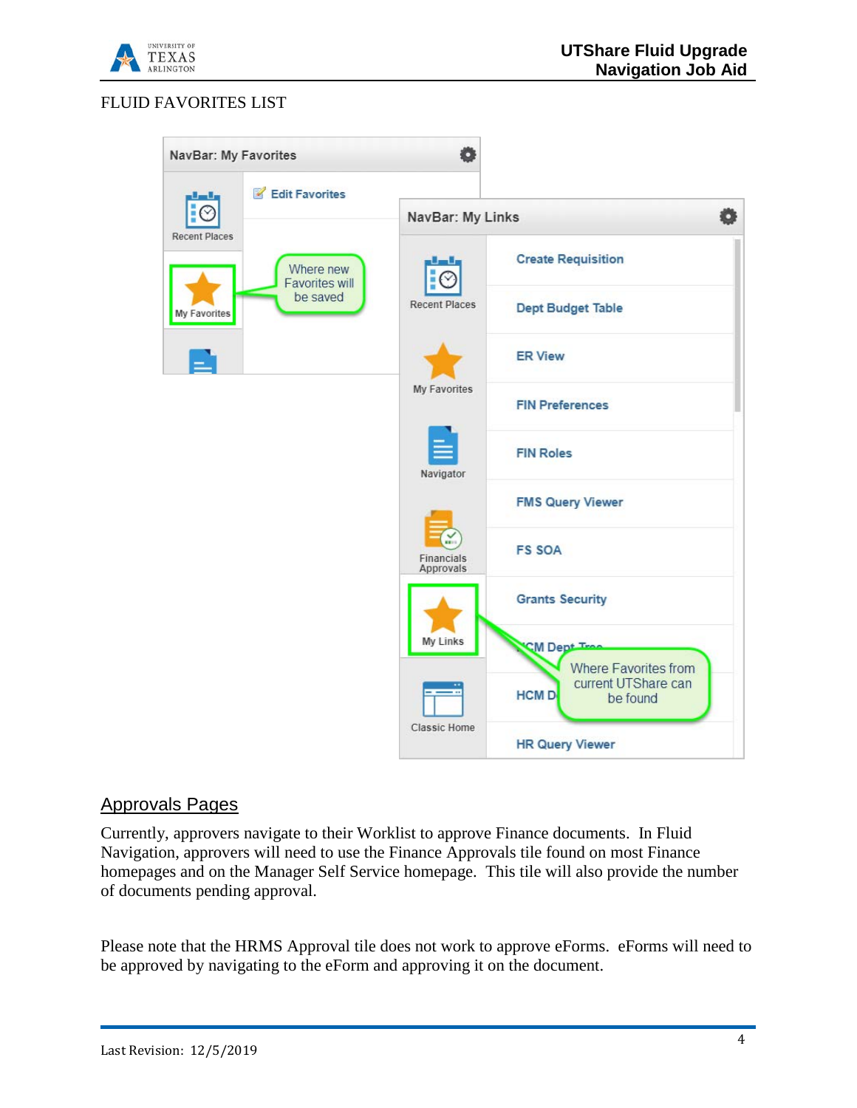

## FLUID FAVORITES LIST



## Approvals Pages

Currently, approvers navigate to their Worklist to approve Finance documents. In Fluid Navigation, approvers will need to use the Finance Approvals tile found on most Finance homepages and on the Manager Self Service homepage. This tile will also provide the number of documents pending approval.

Please note that the HRMS Approval tile does not work to approve eForms. eForms will need to be approved by navigating to the eForm and approving it on the document.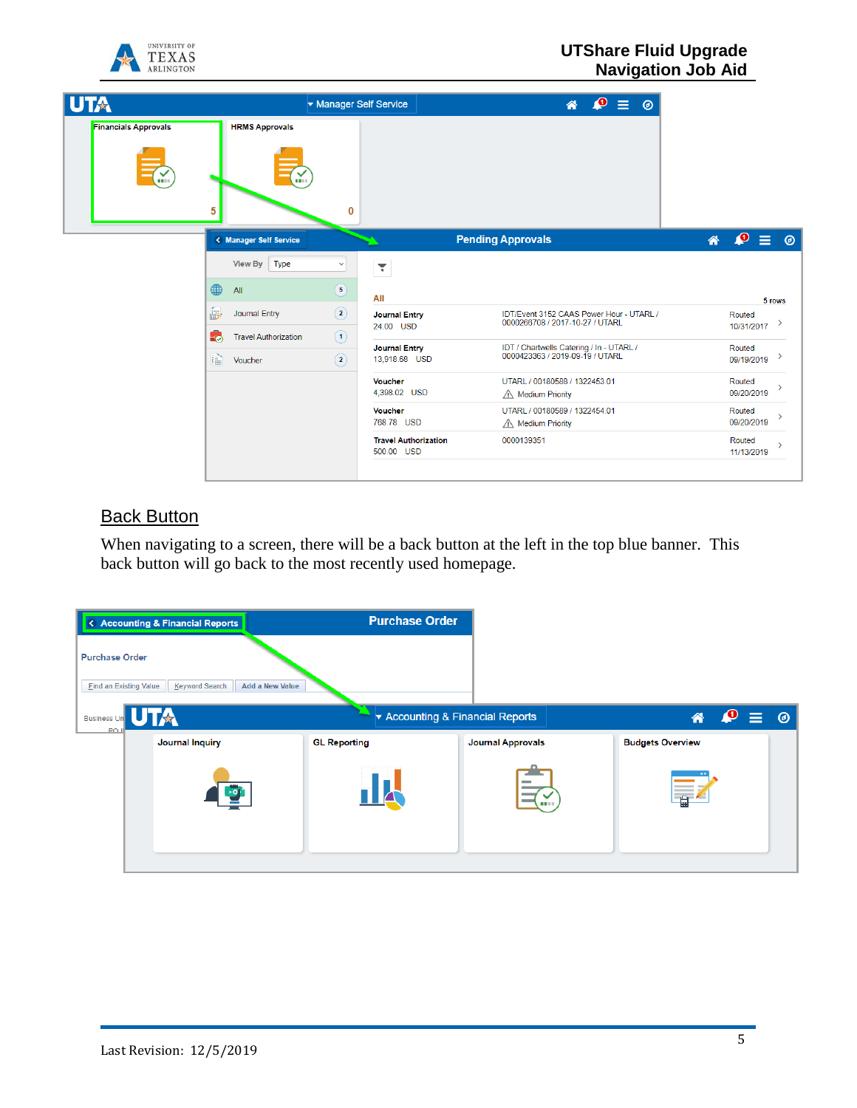

| <b>UTA</b>                  |                                   | Manager Self Service                             | $\mathbf{\Omega}$<br>$\bigoplus$<br>$\odot$<br>谷                            |                                       |
|-----------------------------|-----------------------------------|--------------------------------------------------|-----------------------------------------------------------------------------|---------------------------------------|
| <b>Financials Approvals</b> | <b>HRMS Approvals</b>             |                                                  |                                                                             |                                       |
| ¥.                          | m.<br>5                           | 0                                                |                                                                             |                                       |
|                             | < Manager Self Service            |                                                  | <b>Pending Approvals</b>                                                    | ÆΦ<br>$\equiv$ 0<br>备                 |
|                             | <b>View By</b><br>Type            | $\checkmark$<br>$\mathbf{F}$                     |                                                                             |                                       |
|                             | ∰<br>All                          | 5 <sup>1</sup><br>All                            |                                                                             | 5 rows                                |
|                             | á,<br>Journal Entry               | $\odot$<br><b>Journal Entry</b>                  | IDT/Event 3152 CAAS Power Hour - UTARL /<br>0000266708 / 2017-10-27 / UTARL | Routed                                |
|                             | <b>Travel Authorization</b><br>Еø | 24.00 USD<br>$\odot$                             |                                                                             | $10/31/2017$ >                        |
|                             | R<br>Voucher                      | <b>Journal Entry</b><br>$\odot$<br>13,918.68 USD | IDT / Chartwells Catering / In - UTARL /<br>0000423363 / 2019-09-19 / UTARL | Routed<br>→<br>09/19/2019             |
|                             |                                   | <b>Voucher</b>                                   | UTARL / 00180588 / 1322453.01                                               | Routed<br>$\rightarrow$               |
|                             |                                   | 4.398.02 USD                                     | △ Medium Priority                                                           | 09/20/2019                            |
|                             |                                   | Voucher                                          | UTARL / 00180589 / 1322454.01                                               | Routed<br>$\rightarrow$               |
|                             |                                   | 768.78 USD                                       | ∧ Medium Priority                                                           | 09/20/2019                            |
|                             |                                   | <b>Travel Authorization</b><br>500.00 USD        | 0000139351                                                                  | Routed<br>$\rightarrow$<br>11/13/2019 |

# **Back Button**

When navigating to a screen, there will be a back button at the left in the top blue banner. This back button will go back to the most recently used homepage.

| <b>C</b> Accounting & Financial Reports                            | <b>Purchase Order</b> |                                |                                       |            |
|--------------------------------------------------------------------|-----------------------|--------------------------------|---------------------------------------|------------|
| <b>Purchase Order</b>                                              |                       |                                |                                       |            |
| Add a New Value<br><b>Find an Existing Value</b><br>Keyword Search |                       |                                |                                       |            |
| Business Un<br>PQI                                                 |                       | Accounting & Financial Reports | ₽<br>备                                | $\equiv$ 0 |
| <b>Journal Inquiry</b>                                             | <b>GL Reporting</b>   | <b>Journal Approvals</b>       | <b>Budgets Overview</b>               |            |
| $\cdot$ or                                                         | <b>14</b>             | $\overline{\phantom{a}}$       | $\begin{array}{c} \hline \end{array}$ |            |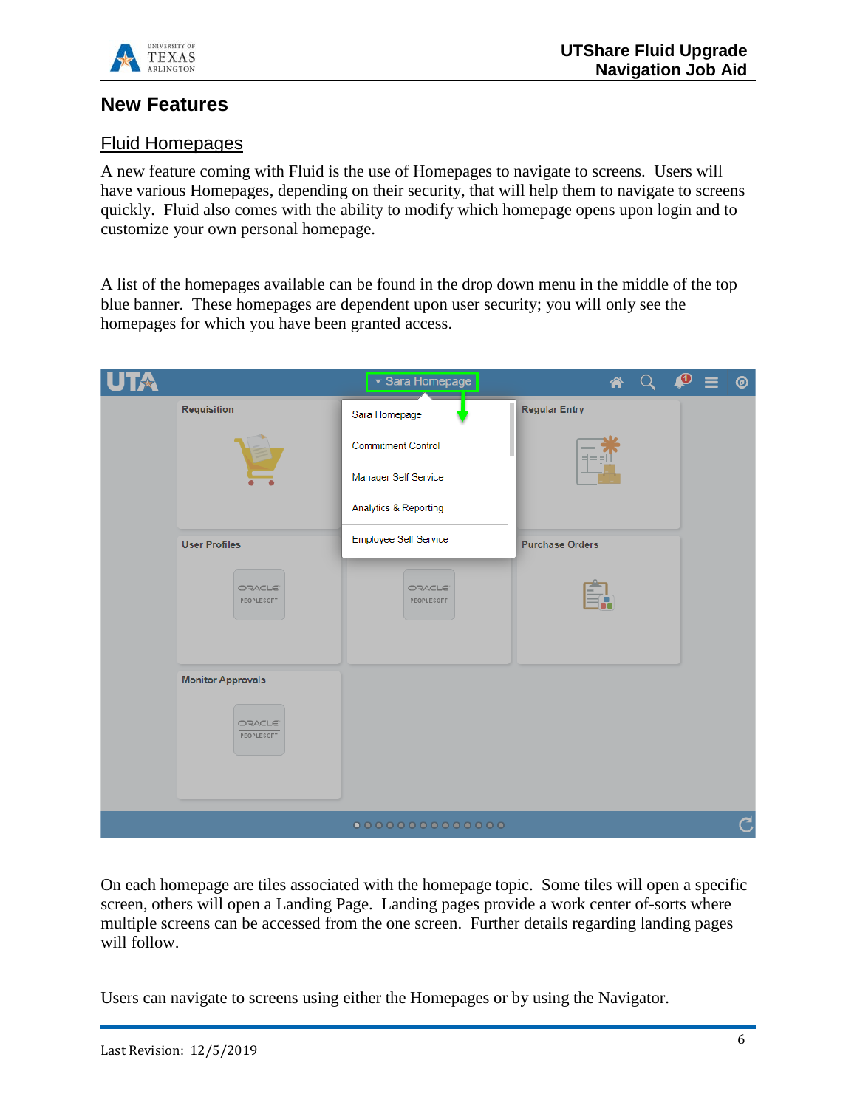

# **New Features**

## Fluid Homepages

A new feature coming with Fluid is the use of Homepages to navigate to screens. Users will have various Homepages, depending on their security, that will help them to navigate to screens quickly. Fluid also comes with the ability to modify which homepage opens upon login and to customize your own personal homepage.

A list of the homepages available can be found in the drop down menu in the middle of the top blue banner. These homepages are dependent upon user security; you will only see the homepages for which you have been granted access.

|                                   | ▼ Sara Homepage                   | <mark>"</mark>         | О<br>$\odot$ |
|-----------------------------------|-----------------------------------|------------------------|--------------|
| Requisition                       | Sara Homepage                     | <b>Regular Entry</b>   |              |
|                                   | <b>Commitment Control</b>         | $=$                    |              |
|                                   | Manager Self Service              |                        |              |
|                                   | Analytics & Reporting             |                        |              |
| <b>User Profiles</b>              | Employee Self Service             | <b>Purchase Orders</b> |              |
| ORACLE <sup>®</sup><br>PEOPLESOFT | ORACLE <sup>®</sup><br>PEOPLESOFT |                        |              |
| <b>Monitor Approvals</b>          |                                   |                        |              |
| ORACLE <sup>®</sup><br>PEOPLESOFT |                                   |                        |              |
|                                   | $000000000000000$                 |                        | C            |

On each homepage are tiles associated with the homepage topic. Some tiles will open a specific screen, others will open a Landing Page. Landing pages provide a work center of-sorts where multiple screens can be accessed from the one screen. Further details regarding landing pages will follow.

Users can navigate to screens using either the Homepages or by using the Navigator.